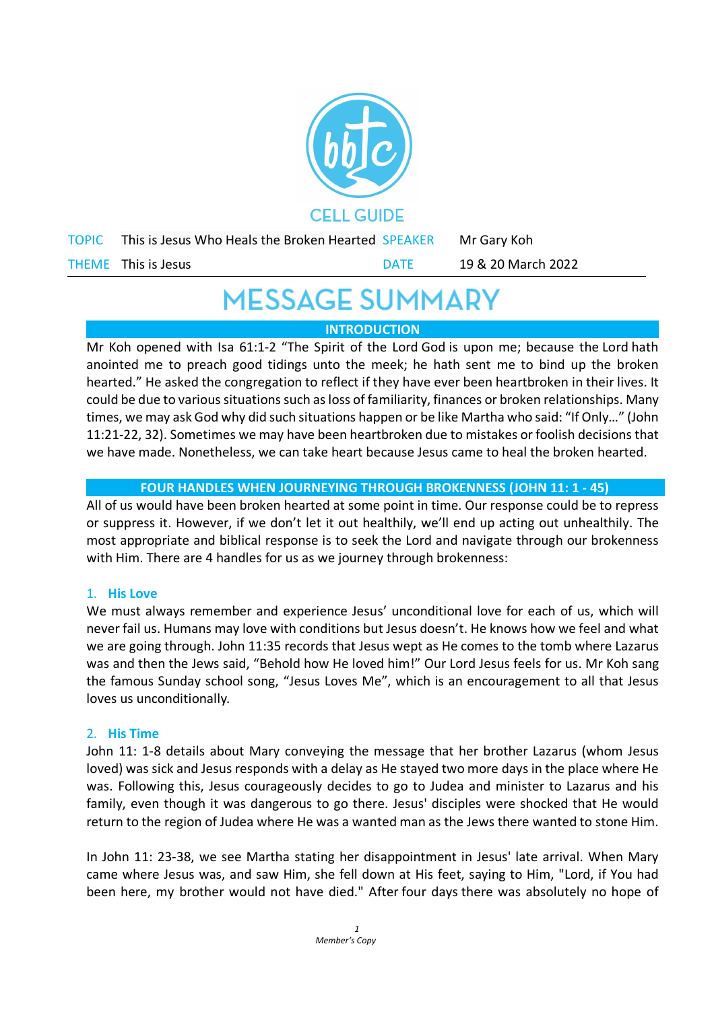

# **MESSAGE SUMMARY**

# **INTRODUCTION**

Mr Koh opened with Isa 61:1-2 "The Spirit of the Lord God is upon me; because the Lord hath anointed me to preach good tidings unto the meek; he hath sent me to bind up the broken hearted." He asked the congregation to reflect if they have ever been heartbroken in their lives. It could be due to various situations such as loss of familiarity, finances or broken relationships. Many times, we may ask God why did such situations happen or be like Martha who said: "If Only…" (John 11:21-22, 32). Sometimes we may have been heartbroken due to mistakes or foolish decisions that we have made. Nonetheless, we can take heart because Jesus came to heal the broken hearted.

# **FOUR HANDLES WHEN JOURNEYING THROUGH BROKENNESS (JOHN 11: 1 - 45)**

All of us would have been broken hearted at some point in time. Our response could be to repress or suppress it. However, if we don't let it out healthily, we'll end up acting out unhealthily. The most appropriate and biblical response is to seek the Lord and navigate through our brokenness with Him. There are 4 handles for us as we journey through brokenness:

### 1. **His Love**

We must always remember and experience Jesus' unconditional love for each of us, which will never fail us. Humans may love with conditions but Jesus doesn't. He knows how we feel and what we are going through. John 11:35 records that Jesus wept as He comes to the tomb where Lazarus was and then the Jews said, "Behold how He loved him!" Our Lord Jesus feels for us. Mr Koh sang the famous Sunday school song, "Jesus Loves Me", which is an encouragement to all that Jesus loves us unconditionally*.*

### 2. **His Time**

John 11: 1-8 details about Mary conveying the message that her brother Lazarus (whom Jesus loved) was sick and Jesus responds with a delay as He stayed two more days in the place where He was. Following this, Jesus courageously decides to go to Judea and minister to Lazarus and his family, even though it was dangerous to go there. Jesus' disciples were shocked that He would return to the region of Judea where He was a wanted man as the Jews there wanted to stone Him.

In John 11: 23-38, we see Martha stating her disappointment in Jesus' late arrival. When Mary came where Jesus was, and saw Him, she fell down at His feet, saying to Him, "Lord, if You had been here, my brother would not have died." After four days there was absolutely no hope of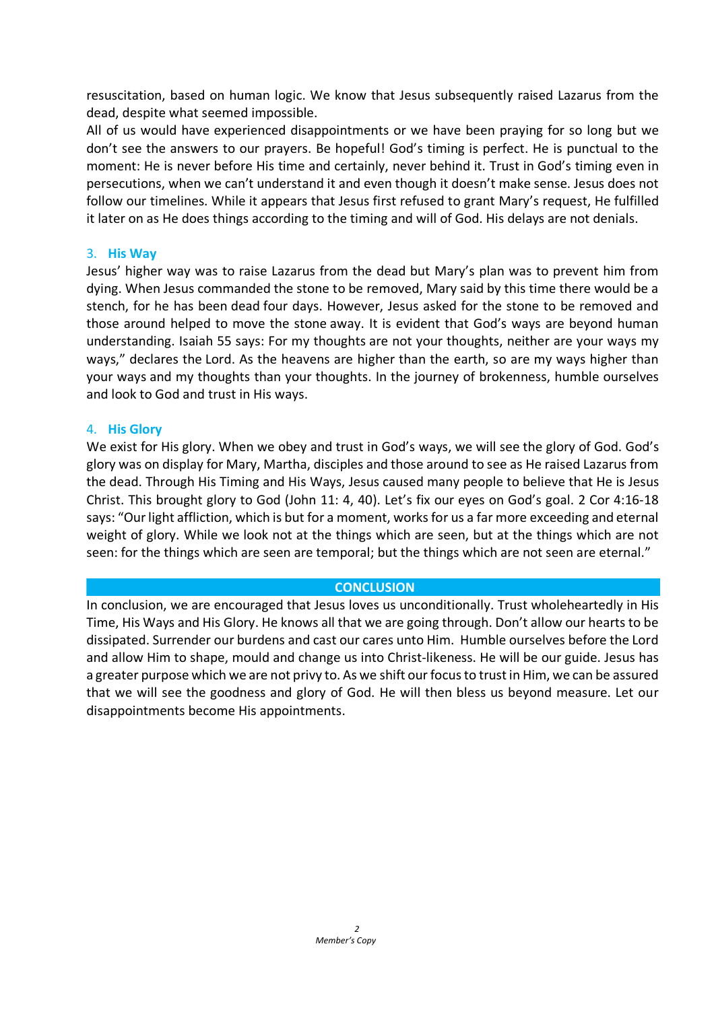resuscitation, based on human logic. We know that Jesus subsequently raised Lazarus from the dead, despite what seemed impossible.

All of us would have experienced disappointments or we have been praying for so long but we don't see the answers to our prayers. Be hopeful! God's timing is perfect. He is punctual to the moment: He is never before His time and certainly, never behind it. Trust in God's timing even in persecutions, when we can't understand it and even though it doesn't make sense. Jesus does not follow our timelines. While it appears that Jesus first refused to grant Mary's request, He fulfilled it later on as He does things according to the timing and will of God. His delays are not denials.

#### 3. **His Way**

Jesus' higher way was to raise Lazarus from the dead but Mary's plan was to prevent him from dying. When Jesus commanded the stone to be removed, Mary said by this time there would be a stench, for he has been dead four days. However, Jesus asked for the stone to be removed and those around helped to move the stone away. It is evident that God's ways are beyond human understanding. Isaiah 55 says: For my thoughts are not your thoughts, neither are your ways my ways," declares the Lord. As the heavens are higher than the earth, so are my ways higher than your ways and my thoughts than your thoughts. In the journey of brokenness, humble ourselves and look to God and trust in His ways.

#### 4. **His Glory**

We exist for His glory. When we obey and trust in God's ways, we will see the glory of God. God's glory was on display for Mary, Martha, disciples and those around to see as He raised Lazarus from the dead. Through His Timing and His Ways, Jesus caused many people to believe that He is Jesus Christ. This brought glory to God (John 11: 4, 40). Let's fix our eyes on God's goal. 2 Cor 4:16-18 says: "Our light affliction, which is but for a moment, works for us a far more exceeding and eternal weight of glory. While we look not at the things which are seen, but at the things which are not seen: for the things which are seen are temporal; but the things which are not seen are eternal."

#### **CONCLUSION**

In conclusion, we are encouraged that Jesus loves us unconditionally. Trust wholeheartedly in His Time, His Ways and His Glory. He knows all that we are going through. Don't allow our hearts to be dissipated. Surrender our burdens and cast our cares unto Him. Humble ourselves before the Lord and allow Him to shape, mould and change us into Christ-likeness. He will be our guide. Jesus has a greater purpose which we are not privy to. As we shift our focus to trust in Him, we can be assured that we will see the goodness and glory of God. He will then bless us beyond measure. Let our disappointments become His appointments.